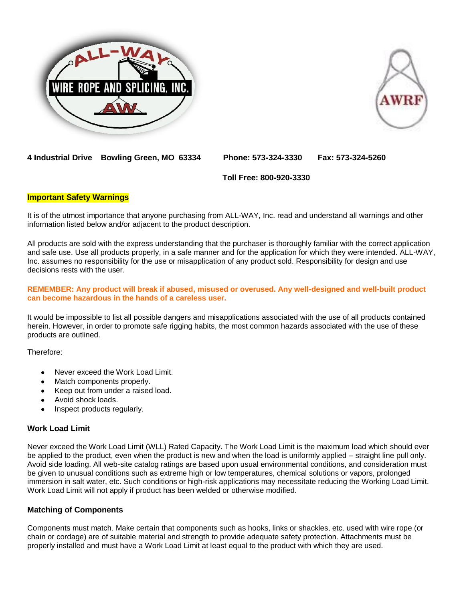



**4 Industrial Drive Bowling Green, MO 63334 Phone: 573-324-3330 Fax: 573-324-5260**

 **Toll Free: 800-920-3330**

#### **Important Safety Warnings**

It is of the utmost importance that anyone purchasing from ALL-WAY, Inc. read and understand all warnings and other information listed below and/or adjacent to the product description.

All products are sold with the express understanding that the purchaser is thoroughly familiar with the correct application and safe use. Use all products properly, in a safe manner and for the application for which they were intended. ALL-WAY, Inc. assumes no responsibility for the use or misapplication of any product sold. Responsibility for design and use decisions rests with the user.

#### **REMEMBER: Any product will break if abused, misused or overused. Any well-designed and well-built product can become hazardous in the hands of a careless user.**

It would be impossible to list all possible dangers and misapplications associated with the use of all products contained herein. However, in order to promote safe rigging habits, the most common hazards associated with the use of these products are outlined.

Therefore:

- Never exceed the Work Load Limit.
- Match components properly.
- Keep out from under a raised load.
- Avoid shock loads.
- Inspect products regularly.

#### **Work Load Limit**

Never exceed the Work Load Limit (WLL) Rated Capacity. The Work Load Limit is the maximum load which should ever be applied to the product, even when the product is new and when the load is uniformly applied – straight line pull only. Avoid side loading. All web-site catalog ratings are based upon usual environmental conditions, and consideration must be given to unusual conditions such as extreme high or low temperatures, chemical solutions or vapors, prolonged immersion in salt water, etc. Such conditions or high-risk applications may necessitate reducing the Working Load Limit. Work Load Limit will not apply if product has been welded or otherwise modified.

# **Matching of Components**

Components must match. Make certain that components such as hooks, links or shackles, etc. used with wire rope (or chain or cordage) are of suitable material and strength to provide adequate safety protection. Attachments must be properly installed and must have a Work Load Limit at least equal to the product with which they are used.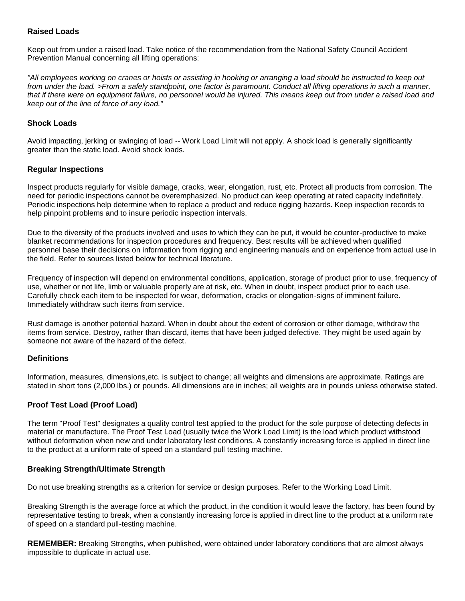# **Raised Loads**

Keep out from under a raised load. Take notice of the recommendation from the National Safety Council Accident Prevention Manual concerning all lifting operations:

*"All employees working on cranes or hoists or assisting in hooking or arranging a load should be instructed to keep out from under the load. >From a safely standpoint, one factor is paramount. Conduct all lifting operations in such a manner, that if there were on equipment failure, no personnel would be injured. This means keep out from under a raised load and keep out of the line of force of any load."* 

# **Shock Loads**

Avoid impacting, jerking or swinging of load -- Work Load Limit will not apply. A shock load is generally significantly greater than the static load. Avoid shock loads.

# **Regular Inspections**

Inspect products regularly for visible damage, cracks, wear, elongation, rust, etc. Protect all products from corrosion. The need for periodic inspections cannot be overemphasized. No product can keep operating at rated capacity indefinitely. Periodic inspections help determine when to replace a product and reduce rigging hazards. Keep inspection records to help pinpoint problems and to insure periodic inspection intervals.

Due to the diversity of the products involved and uses to which they can be put, it would be counter-productive to make blanket recommendations for inspection procedures and frequency. Best results will be achieved when qualified personnel base their decisions on information from rigging and engineering manuals and on experience from actual use in the field. Refer to sources listed below for technical literature.

Frequency of inspection will depend on environmental conditions, application, storage of product prior to use, frequency of use, whether or not life, limb or valuable properly are at risk, etc. When in doubt, inspect product prior to each use. Carefully check each item to be inspected for wear, deformation, cracks or elongation-signs of imminent failure. Immediately withdraw such items from service.

Rust damage is another potential hazard. When in doubt about the extent of corrosion or other damage, withdraw the items from service. Destroy, rather than discard, items that have been judged defective. They might be used again by someone not aware of the hazard of the defect.

# **Definitions**

Information, measures, dimensions,etc. is subject to change; all weights and dimensions are approximate. Ratings are stated in short tons (2,000 lbs.) or pounds. All dimensions are in inches; all weights are in pounds unless otherwise stated.

# **Proof Test Load (Proof Load)**

The term "Proof Test" designates a quality control test applied to the product for the sole purpose of detecting defects in material or manufacture. The Proof Test Load (usually twice the Work Load Limit) is the load which product withstood without deformation when new and under laboratory lest conditions. A constantly increasing force is applied in direct line to the product at a uniform rate of speed on a standard pull testing machine.

# **Breaking Strength/Ultimate Strength**

Do not use breaking strengths as a criterion for service or design purposes. Refer to the Working Load Limit.

Breaking Strength is the average force at which the product, in the condition it would leave the factory, has been found by representative testing to break, when a constantly increasing force is applied in direct line to the product at a uniform rate of speed on a standard pull-testing machine.

**REMEMBER:** Breaking Strengths, when published, were obtained under laboratory conditions that are almost always impossible to duplicate in actual use.